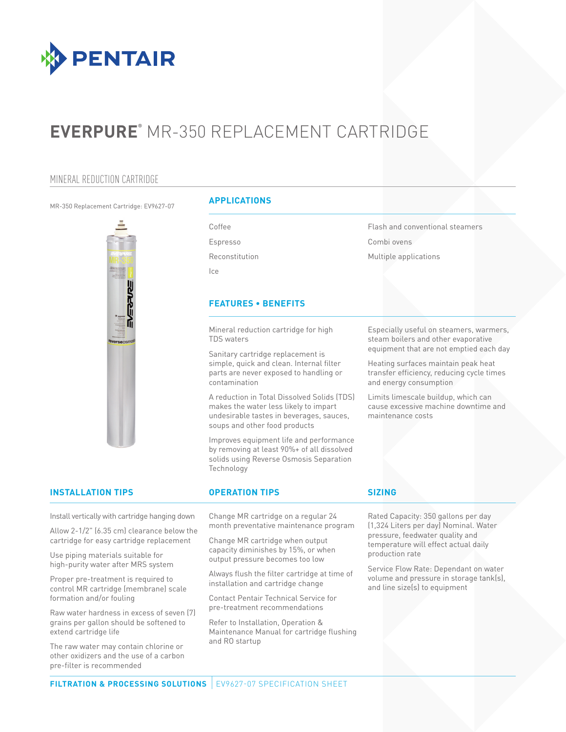

# **EVERPURE®** MR-350 REPLACEMENT CARTRIDGE

### MINERAL REDUCTION CARTRIDGE

#### MR-350 Replacement Cartridge: EV9627-07



#### **APPLICATIONS**

Coffee Espresso Reconstitution

Ice

#### **FEATURES • BENEFITS**

Mineral reduction cartridge for high TDS waters

Sanitary cartridge replacement is simple, quick and clean. Internal filter parts are never exposed to handling or contamination

A reduction in Total Dissolved Solids (TDS) makes the water less likely to impart undesirable tastes in beverages, sauces, soups and other food products

Improves equipment life and performance by removing at least 90%+ of all dissolved solids using Reverse Osmosis Separation Technology

Combi ovens Multiple applications

Flash and conventional steamers

Especially useful on steamers, warmers, steam boilers and other evaporative equipment that are not emptied each day

Heating surfaces maintain peak heat transfer efficiency, reducing cycle times and energy consumption

Limits limescale buildup, which can cause excessive machine downtime and maintenance costs

#### **INSTALLATION TIPS OPERATION TIPS**

Install vertically with cartridge hanging down

Allow 2-1/2" (6.35 cm) clearance below the cartridge for easy cartridge replacement

Use piping materials suitable for high-purity water after MRS system

Proper pre-treatment is required to control MR cartridge (membrane) scale formation and/or fouling

Raw water hardness in excess of seven (7) grains per gallon should be softened to extend cartridge life

The raw water may contain chlorine or other oxidizers and the use of a carbon pre-filter is recommended

Change MR cartridge on a regular 24 month preventative maintenance program

Change MR cartridge when output capacity diminishes by 15%, or when output pressure becomes too low

Always flush the filter cartridge at time of installation and cartridge change

Contact Pentair Technical Service for pre-treatment recommendations

Refer to Installation, Operation & Maintenance Manual for cartridge flushing and RO startup

#### **SIZING**

Rated Capacity: 350 gallons per day (1,324 Liters per day) Nominal. Water pressure, feedwater quality and temperature will effect actual daily production rate

Service Flow Rate: Dependant on water volume and pressure in storage tank(s), and line size(s) to equipment